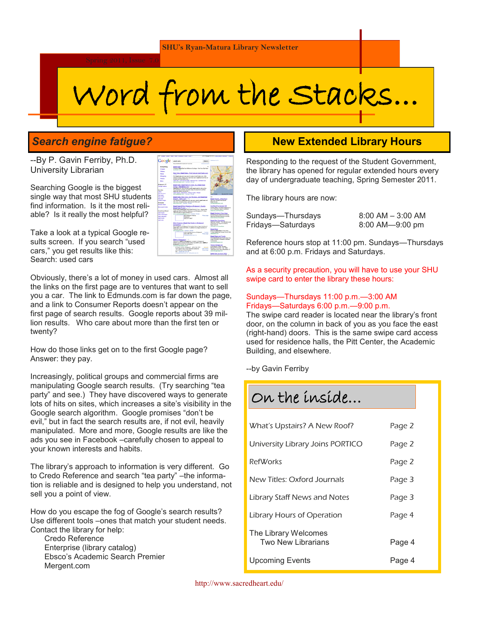# Word from the Stacks...

## *Search engine fatigue?*

--By P. Gavin Ferriby, Ph.D. University Librarian

Searching Google is the biggest single way that most SHU students find information. Is it the most reliable? Is it really the most helpful?

Take a look at a typical Google results screen. If you search "used cars," you get results like this: Search: used cars

Obviously, there's a lot of money in used cars. Almost all the links on the first page are to ventures that want to sell you a car. The link to Edmunds.com is far down the page, and a link to Consumer Reports doesn't appear on the first page of search results. Google reports about 39 million results. Who care about more than the first ten or twenty?

How do those links get on to the first Google page? Answer: they pay.

Increasingly, political groups and commercial firms are manipulating Google search results. (Try searching "tea party" and see.) They have discovered ways to generate lots of hits on sites, which increases a site's visibility in the Google search algorithm. Google promises "don't be evil," but in fact the search results are, if not evil, heavily manipulated. More and more, Google results are like the ads you see in Facebook –carefully chosen to appeal to your known interests and habits.

The library's approach to information is very different. Go to Credo Reference and search "tea party" - the information is reliable and is designed to help you understand, not sell you a point of view.

How do you escape the fog of Google's search results? Use different tools –ones that match your student needs. Contact the library for help:

Credo Reference Enterprise (library catalog) Ebsco's Academic Search Premier Mergent.com



## **New Extended Library Hours**

Responding to the request of the Student Government, the library has opened for regular extended hours every day of undergraduate teaching, Spring Semester 2011.

The library hours are now:

| Sundays—Thursdays | $8:00$ AM $-$ 3:00 AM |
|-------------------|-----------------------|
| Fridays—Saturdays | $8:00$ AM- $-9:00$ pm |

Reference hours stop at 11:00 pm. Sundays—Thursdays and at 6:00 p.m. Fridays and Saturdays.

As a security precaution, you will have to use your SHU swipe card to enter the library these hours:

#### Sundays—Thursdays 11:00 p.m.—3:00 AM Fridays—Saturdays 6:00 p.m.—9:00 p.m.

The swipe card reader is located near the library's front door, on the column in back of you as you face the east (right-hand) doors. This is the same swipe card access used for residence halls, the Pitt Center, the Academic Building, and elsewhere.

--by Gavin Ferriby

| On the inside                              |        |
|--------------------------------------------|--------|
| What's Upstairs? A New Roof?               | Page 2 |
| University Library Joins PORTICO           | Page 2 |
|                                            |        |
| RefWorks                                   | Page 2 |
| New Titles: Oxford Journals                | Page 3 |
| Library Staff News and Notes               | Page 3 |
| Library Hours of Operation                 | Page 4 |
| The Library Welcomes<br>Two New Librarians | Page 4 |
| Upcoming Events                            | Page 4 |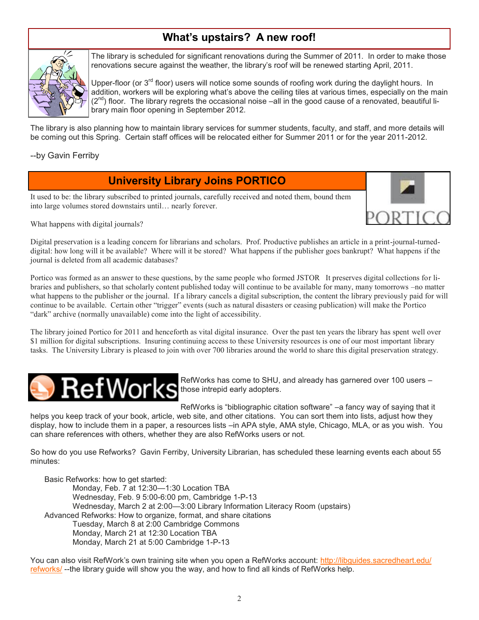# **What's upstairs? A new roof!**



The library is scheduled for significant renovations during the Summer of 2011. In order to make those renovations secure against the weather, the library's roof will be renewed starting April, 2011.

Upper-floor (or 3<sup>rd</sup> floor) users will notice some sounds of roofing work during the daylight hours. In addition, workers will be exploring what's above the ceiling tiles at various times, especially on the main  $(2^{nd})$  floor. The library regrets the occasional noise –all in the good cause of a renovated, beautiful library main floor opening in September 2012.

The library is also planning how to maintain library services for summer students, faculty, and staff, and more details will be coming out this Spring. Certain staff offices will be relocated either for Summer 2011 or for the year 2011-2012.

--by Gavin Ferriby

## **University Library Joins PORTICO**

It used to be: the library subscribed to printed journals, carefully received and noted them, bound them into large volumes stored downstairs until… nearly forever.



Digital preservation is a leading concern for librarians and scholars. Prof. Productive publishes an article in a print-journal-turneddigital: how long will it be available? Where will it be stored? What happens if the publisher goes bankrupt? What happens if the journal is deleted from all academic databases?

Portico was formed as an answer to these questions, by the same people who formed JSTOR It preserves digital collections for libraries and publishers, so that scholarly content published today will continue to be available for many, many tomorrows –no matter what happens to the publisher or the journal. If a library cancels a digital subscription, the content the library previously paid for will continue to be available. Certain other "trigger" events (such as natural disasters or ceasing publication) will make the Portico "dark" archive (normally unavailable) come into the light of accessibility.

The library joined Portico for 2011 and henceforth as vital digital insurance. Over the past ten years the library has spent well over \$1 million for digital subscriptions. Insuring continuing access to these University resources is one of our most important library tasks. The University Library is pleased to join with over 700 libraries around the world to share this digital preservation strategy.



RefWorks has come to SHU, and already has garnered over 100 users – those intrepid early adopters.

RefWorks is "bibliographic citation software" –a fancy way of saying that it

helps you keep track of your book, article, web site, and other citations. You can sort them into lists, adjust how they display, how to include them in a paper, a resources lists –in APA style, AMA style, Chicago, MLA, or as you wish. You can share references with others, whether they are also RefWorks users or not.

So how do you use Refworks? Gavin Ferriby, University Librarian, has scheduled these learning events each about 55 minutes:

Basic Refworks: how to get started: Monday, Feb. 7 at 12:30—1:30 Location TBA Wednesday, Feb. 9 5:00-6:00 pm, Cambridge 1-P-13 Wednesday, March 2 at 2:00—3:00 Library Information Literacy Room (upstairs) Advanced Refworks: How to organize, format, and share citations Tuesday, March 8 at 2:00 Cambridge Commons Monday, March 21 at 12:30 Location TBA Monday, March 21 at 5:00 Cambridge 1-P-13

You can also visit RefWork's own training site when you open a RefWorks account: [http://libguides.sacredheart.edu/](http://libguides.sacredheart.edu/refworks/) [refworks/](http://libguides.sacredheart.edu/refworks/) --the library guide will show you the way, and how to find all kinds of RefWorks help.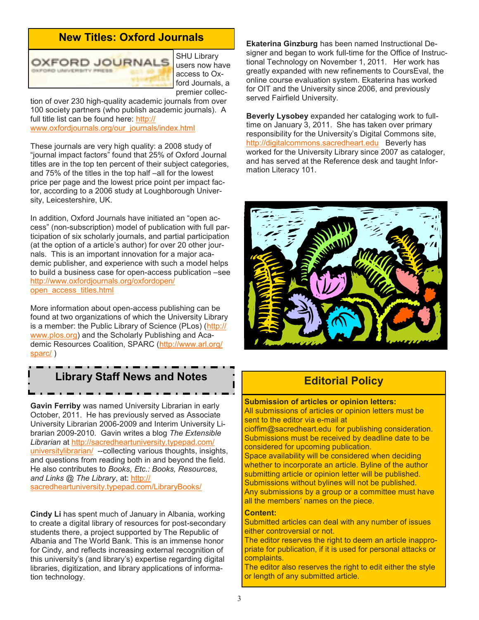## **New Titles: Oxford Journals**



SHU Library users now have access to Oxford Journals, a premier collec-

tion of over 230 high-quality academic journals from over 100 society partners (who publish academic journals). A full title list can be found here: [http://](http://www.oxfordjournals.org/our_journals/index.html) www.oxfordiournals.org/our\_journals/index.html

These journals are very high quality: a 2008 study of ―journal impact factors‖ found that 25% of Oxford Journal titles are in the top ten percent of their subject categories, and 75% of the titles in the top half –all for the lowest price per page and the lowest price point per impact factor, according to a 2006 study at Loughborough University, Leicestershire, UK.

In addition, Oxford Journals have initiated an "open access‖ (non-subscription) model of publication with full participation of six scholarly journals, and partial participation (at the option of a article's author) for over 20 other journals. This is an important innovation for a major academic publisher, and experience with such a model helps to build a business case for open-access publication –see [http://www.oxfordjournals.org/oxfordopen/](http://www.oxfordjournals.org/oxfordopen/open_access_titles.html) [open\\_access\\_titles.html](http://www.oxfordjournals.org/oxfordopen/open_access_titles.html)

More information about open-access publishing can be found at two organizations of which the University Library is a member: the Public Library of Science (PLos) ([http://](http://www.plos.org) [www.plos.org\)](http://www.plos.org) and the Scholarly Publishing and Academic Resources Coalition, SPARC ([http://www.arl.org/](http://www.arl.org/sparc/) [sparc/](http://www.arl.org/sparc/) )

# **Library Staff News and Notes**

**Gavin Ferriby** was named University Librarian in early October, 2011. He has previously served as Associate University Librarian 2006-2009 and Interim University Librarian 2009-2010. Gavin writes a blog *The Extensible Librarian* at [http://sacredheartuniversity.typepad.com/](http://sacredheartuniversity.typepad.com/universitylibrarian/) [universitylibrarian/](http://sacredheartuniversity.typepad.com/universitylibrarian/) --collecting various thoughts, insights, and questions from reading both in and beyond the field. He also contributes to *Books, Etc.: Books, Resources, and Links @ The Library*, at: [http://](http://sacredheartuniversity.typepad.com/LibraryBooks/) [sacredheartuniversity.typepad.com/LibraryBooks/](http://sacredheartuniversity.typepad.com/LibraryBooks/)

**Cindy Li** has spent much of January in Albania, working to create a digital library of resources for post-secondary students there, a project supported by The Republic of Albania and The World Bank. This is an immense honor for Cindy, and reflects increasing external recognition of this university's (and library's) expertise regarding digital libraries, digitization, and library applications of information technology.

**Ekaterina Ginzburg** has been named Instructional Designer and began to work full-time for the Office of Instructional Technology on November 1, 2011. Her work has greatly expanded with new refinements to CoursEval, the online course evaluation system. Ekaterina has worked for OIT and the University since 2006, and previously served Fairfield University.

**Beverly Lysobey** expanded her cataloging work to fulltime on January 3, 2011. She has taken over primary responsibility for the University's Digital Commons site, <http://digitalcommons.sacredheart.edu>Beverly has worked for the University Library since 2007 as cataloger, and has served at the Reference desk and taught Information Literacy 101.



## **Editorial Policy**

#### **Submission of articles or opinion letters:**

All submissions of articles or opinion letters must be sent to the editor via e-mail at

cioffim@sacredheart.edu for publishing consideration. Submissions must be received by deadline date to be considered for upcoming publication.

Space availability will be considered when deciding whether to incorporate an article. Byline of the author submitting article or opinion letter will be published. Submissions without bylines will not be published. Any submissions by a group or a committee must have all the members' names on the piece.

#### **Content:**

Submitted articles can deal with any number of issues either controversial or not.

The editor reserves the right to deem an article inappropriate for publication, if it is used for personal attacks or complaints.

The editor also reserves the right to edit either the style or length of any submitted article.